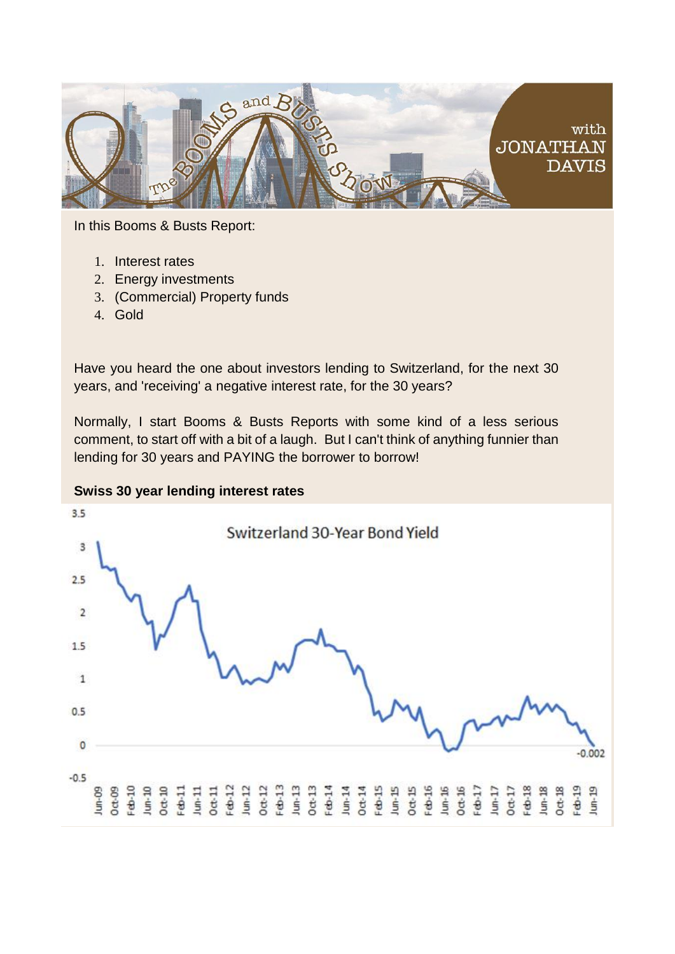

In this Booms & Busts Report:

- 1. Interest rates
- 2. Energy investments
- 3. (Commercial) Property funds
- 4. Gold

Have you heard the one about investors lending to Switzerland, for the next 30 years, and 'receiving' a negative interest rate, for the 30 years?

Normally, I start Booms & Busts Reports with some kind of a less serious comment, to start off with a bit of a laugh. But I can't think of anything funnier than lending for 30 years and PAYING the borrower to borrow!

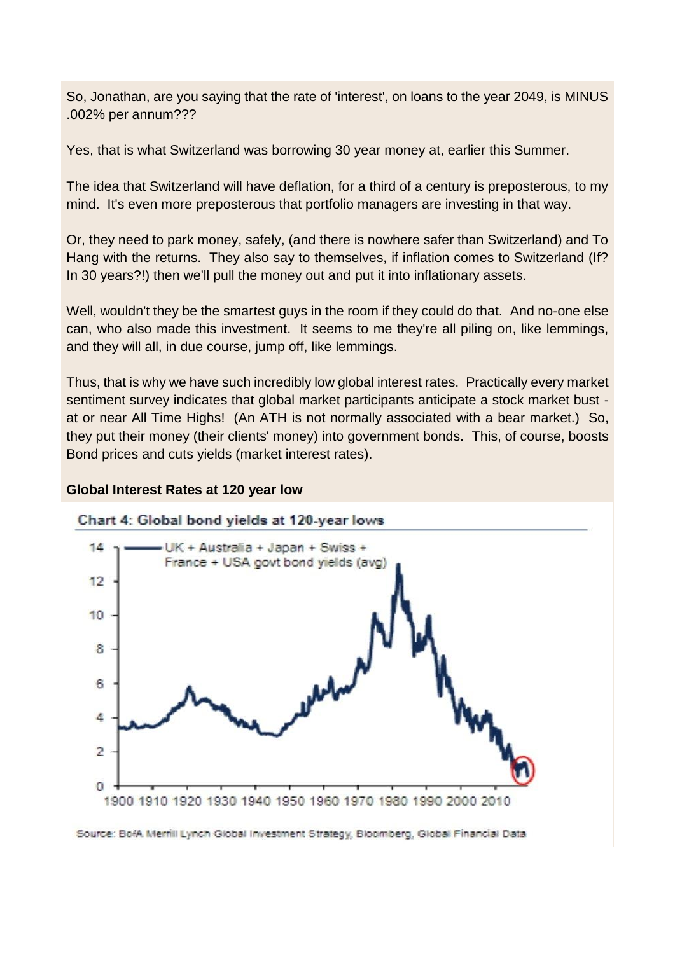So, Jonathan, are you saying that the rate of 'interest', on loans to the year 2049, is MINUS .002% per annum???

Yes, that is what Switzerland was borrowing 30 year money at, earlier this Summer.

The idea that Switzerland will have deflation, for a third of a century is preposterous, to my mind. It's even more preposterous that portfolio managers are investing in that way.

Or, they need to park money, safely, (and there is nowhere safer than Switzerland) and To Hang with the returns. They also say to themselves, if inflation comes to Switzerland (If? In 30 years?!) then we'll pull the money out and put it into inflationary assets.

Well, wouldn't they be the smartest guys in the room if they could do that. And no-one else can, who also made this investment. It seems to me they're all piling on, like lemmings, and they will all, in due course, jump off, like lemmings.

Thus, that is why we have such incredibly low global interest rates. Practically every market sentiment survey indicates that global market participants anticipate a stock market bust at or near All Time Highs! (An ATH is not normally associated with a bear market.) So, they put their money (their clients' money) into government bonds. This, of course, boosts Bond prices and cuts yields (market interest rates).

#### **Global Interest Rates at 120 year low**



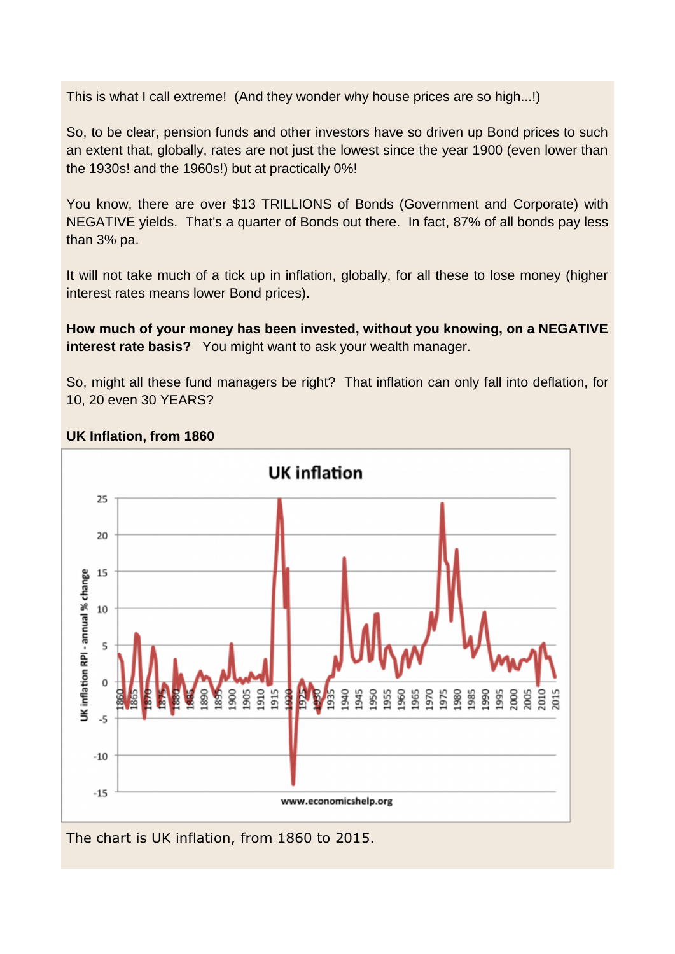This is what I call extreme! (And they wonder why house prices are so high...!)

So, to be clear, pension funds and other investors have so driven up Bond prices to such an extent that, globally, rates are not just the lowest since the year 1900 (even lower than the 1930s! and the 1960s!) but at practically 0%!

You know, there are over \$13 TRILLIONS of Bonds (Government and Corporate) with NEGATIVE yields. That's a quarter of Bonds out there. In fact, 87% of all bonds pay less than 3% pa.

It will not take much of a tick up in inflation, globally, for all these to lose money (higher interest rates means lower Bond prices).

**How much of your money has been invested, without you knowing, on a NEGATIVE interest rate basis?** You might want to ask your wealth manager.

So, might all these fund managers be right? That inflation can only fall into deflation, for 10, 20 even 30 YEARS?



## **UK Inflation, from 1860**

The chart is UK inflation, from 1860 to 2015.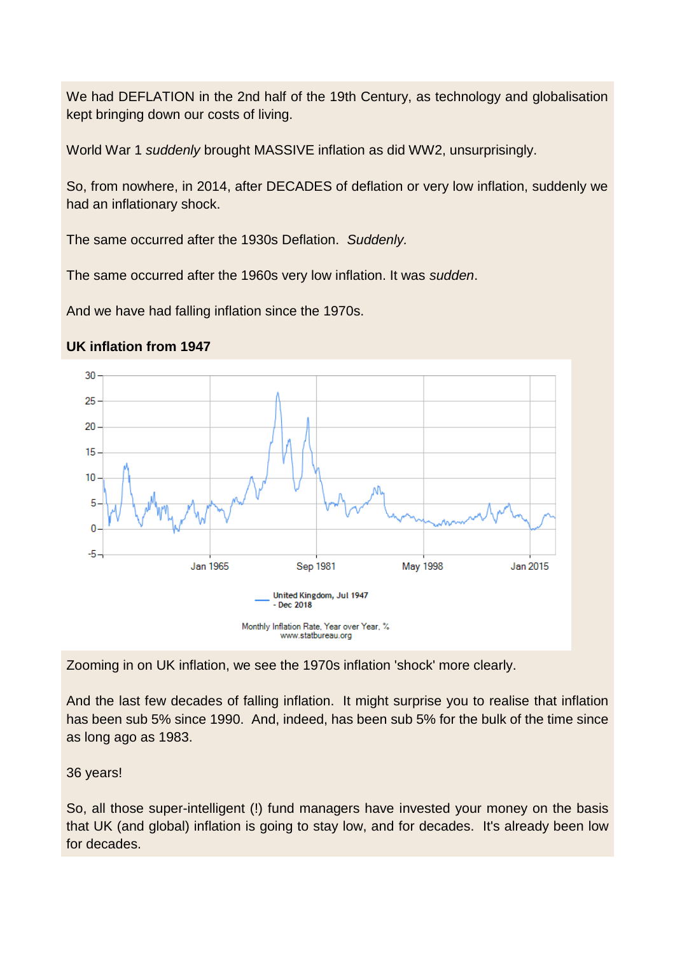We had DEFLATION in the 2nd half of the 19th Century, as technology and globalisation kept bringing down our costs of living.

World War 1 *suddenly* brought MASSIVE inflation as did WW2, unsurprisingly.

So, from nowhere, in 2014, after DECADES of deflation or very low inflation, suddenly we had an inflationary shock.

The same occurred after the 1930s Deflation. *Suddenly.*

The same occurred after the 1960s very low inflation. It was *sudden*.

And we have had falling inflation since the 1970s.



## **UK inflation from 1947**

Zooming in on UK inflation, we see the 1970s inflation 'shock' more clearly.

And the last few decades of falling inflation. It might surprise you to realise that inflation has been sub 5% since 1990. And, indeed, has been sub 5% for the bulk of the time since as long ago as 1983.

# 36 years!

So, all those super-intelligent (!) fund managers have invested your money on the basis that UK (and global) inflation is going to stay low, and for decades. It's already been low for decades.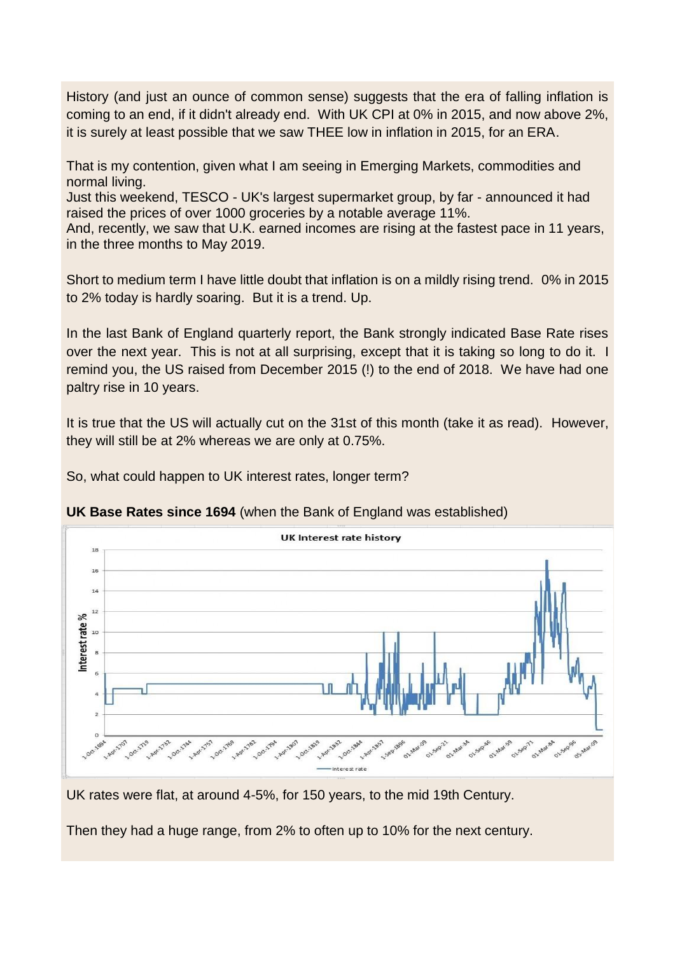History (and just an ounce of common sense) suggests that the era of falling inflation is coming to an end, if it didn't already end. With UK CPI at 0% in 2015, and now above 2%, it is surely at least possible that we saw THEE low in inflation in 2015, for an ERA.

That is my contention, given what I am seeing in Emerging Markets, commodities and normal living.

Just this weekend, TESCO - UK's largest supermarket group, by far - announced it had raised the prices of over 1000 groceries by a notable average 11%.

And, recently, we saw that U.K. earned incomes are rising at the fastest pace in 11 years, in the three months to May 2019.

Short to medium term I have little doubt that inflation is on a mildly rising trend. 0% in 2015 to 2% today is hardly soaring. But it is a trend. Up.

In the last Bank of England quarterly report, the Bank strongly indicated Base Rate rises over the next year. This is not at all surprising, except that it is taking so long to do it. I remind you, the US raised from December 2015 (!) to the end of 2018. We have had one paltry rise in 10 years.

It is true that the US will actually cut on the 31st of this month (take it as read). However, they will still be at 2% whereas we are only at 0.75%.

So, what could happen to UK interest rates, longer term?





UK rates were flat, at around 4-5%, for 150 years, to the mid 19th Century.

Then they had a huge range, from 2% to often up to 10% for the next century.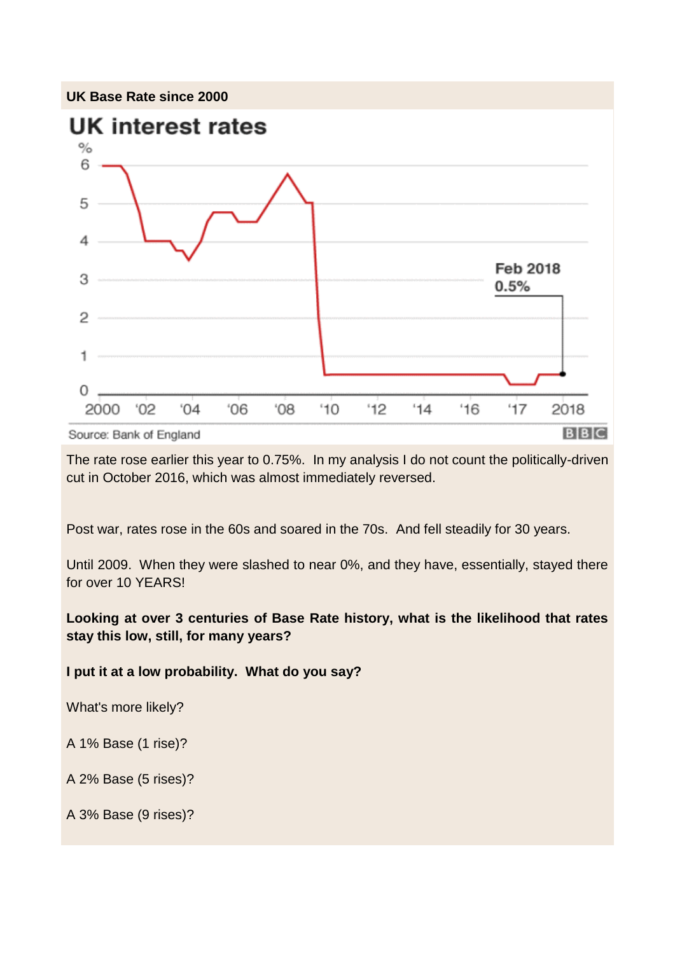

The rate rose earlier this year to 0.75%. In my analysis I do not count the politically-driven cut in October 2016, which was almost immediately reversed.

Post war, rates rose in the 60s and soared in the 70s. And fell steadily for 30 years.

Until 2009. When they were slashed to near 0%, and they have, essentially, stayed there for over 10 YEARS!

**Looking at over 3 centuries of Base Rate history, what is the likelihood that rates stay this low, still, for many years?**

**I put it at a low probability. What do you say?**

What's more likely?

A 1% Base (1 rise)?

A 2% Base (5 rises)?

A 3% Base (9 rises)?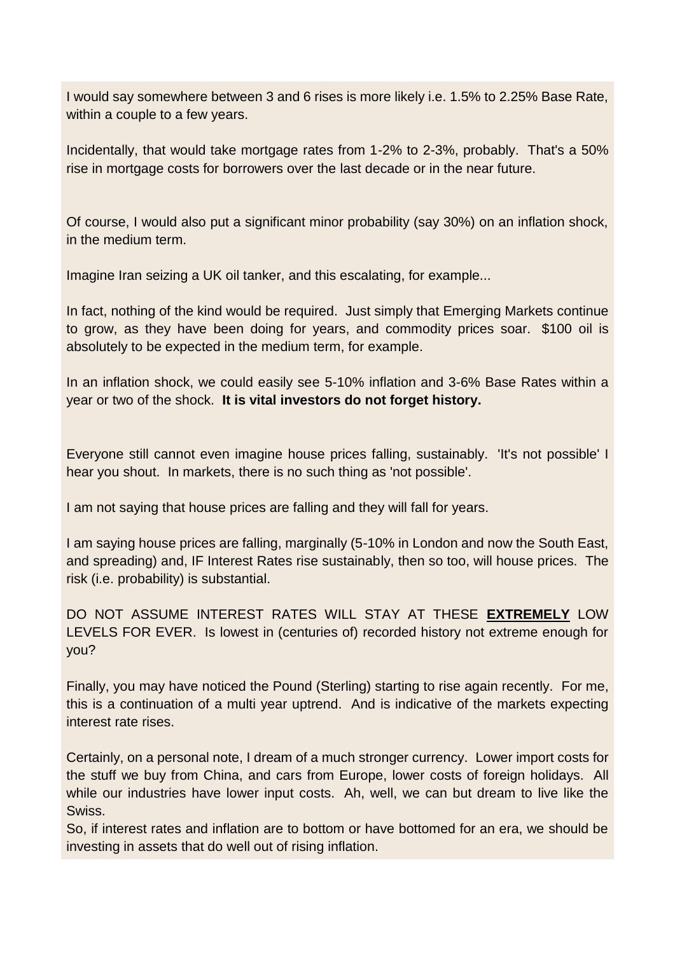I would say somewhere between 3 and 6 rises is more likely i.e. 1.5% to 2.25% Base Rate, within a couple to a few years.

Incidentally, that would take mortgage rates from 1-2% to 2-3%, probably. That's a 50% rise in mortgage costs for borrowers over the last decade or in the near future.

Of course, I would also put a significant minor probability (say 30%) on an inflation shock, in the medium term.

Imagine Iran seizing a UK oil tanker, and this escalating, for example...

In fact, nothing of the kind would be required. Just simply that Emerging Markets continue to grow, as they have been doing for years, and commodity prices soar. \$100 oil is absolutely to be expected in the medium term, for example.

In an inflation shock, we could easily see 5-10% inflation and 3-6% Base Rates within a year or two of the shock. **It is vital investors do not forget history.**

Everyone still cannot even imagine house prices falling, sustainably. 'It's not possible' I hear you shout. In markets, there is no such thing as 'not possible'.

I am not saying that house prices are falling and they will fall for years.

I am saying house prices are falling, marginally (5-10% in London and now the South East, and spreading) and, IF Interest Rates rise sustainably, then so too, will house prices. The risk (i.e. probability) is substantial.

DO NOT ASSUME INTEREST RATES WILL STAY AT THESE **EXTREMELY** LOW LEVELS FOR EVER. Is lowest in (centuries of) recorded history not extreme enough for you?

Finally, you may have noticed the Pound (Sterling) starting to rise again recently. For me, this is a continuation of a multi year uptrend. And is indicative of the markets expecting interest rate rises.

Certainly, on a personal note, I dream of a much stronger currency. Lower import costs for the stuff we buy from China, and cars from Europe, lower costs of foreign holidays. All while our industries have lower input costs. Ah, well, we can but dream to live like the Swiss.

So, if interest rates and inflation are to bottom or have bottomed for an era, we should be investing in assets that do well out of rising inflation.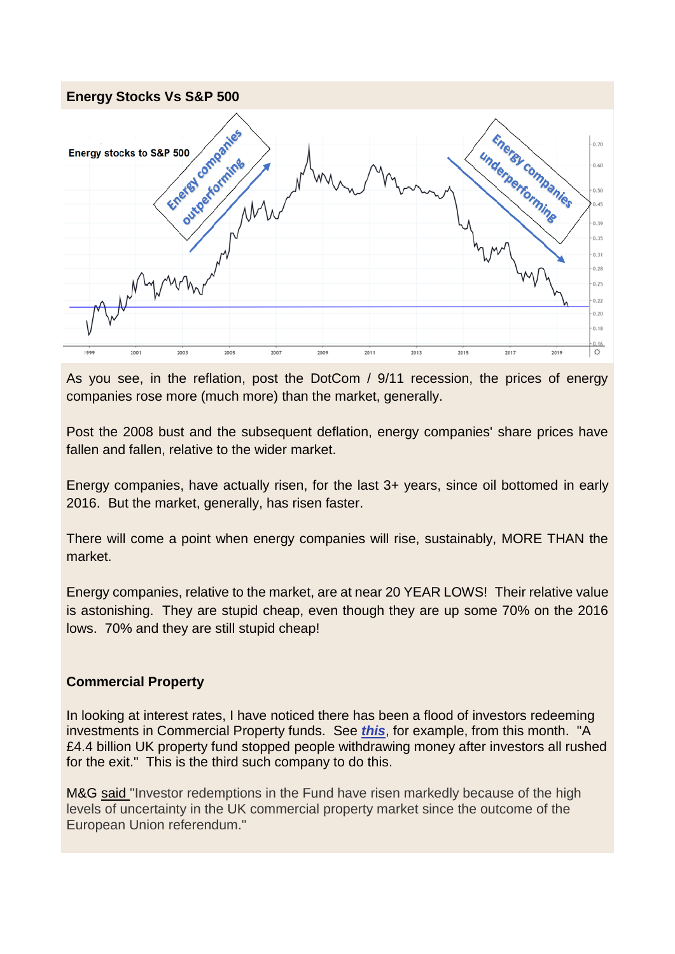

As you see, in the reflation, post the DotCom / 9/11 recession, the prices of energy companies rose more (much more) than the market, generally.

Post the 2008 bust and the subsequent deflation, energy companies' share prices have fallen and fallen, relative to the wider market.

Energy companies, have actually risen, for the last 3+ years, since oil bottomed in early 2016. But the market, generally, has risen faster.

There will come a point when energy companies will rise, sustainably, MORE THAN the market.

Energy companies, relative to the market, are at near 20 YEAR LOWS! Their relative value is astonishing. They are stupid cheap, even though they are up some 70% on the 2016 lows. 70% and they are still stupid cheap!

#### **Commercial Property**

In looking at interest rates, I have noticed there has been a flood of investors redeeming investments in Commercial Property funds. See *[this](https://jonathandaviswealthmanagement.com/MW5-6E5XM-382O84-3OJMLT-1/c.aspx)*, for example, from this month. "A £4.4 billion UK property fund stopped people withdrawing money after investors all rushed for the exit." This is the third such company to do this.

M&G [said "](https://jonathandaviswealthmanagement.com/MW5-6E5XM-382O84-3OJMLU-1/c.aspx)Investor redemptions in the Fund have risen markedly because of the high levels of uncertainty in the UK commercial property market since the outcome of the European Union referendum."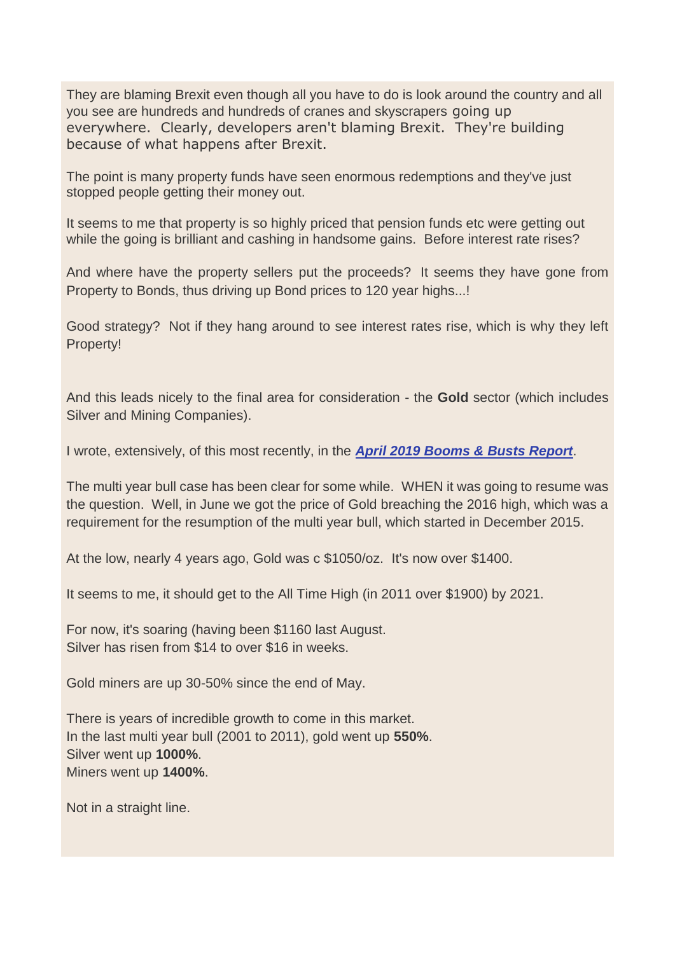They are blaming Brexit even though all you have to do is look around the country and all you see are hundreds and hundreds of cranes and skyscrapers going up everywhere. Clearly, developers aren't blaming Brexit. They're building because of what happens after Brexit.

The point is many property funds have seen enormous redemptions and they've just stopped people getting their money out.

It seems to me that property is so highly priced that pension funds etc were getting out while the going is brilliant and cashing in handsome gains. Before interest rate rises?

And where have the property sellers put the proceeds? It seems they have gone from Property to Bonds, thus driving up Bond prices to 120 year highs...!

Good strategy? Not if they hang around to see interest rates rise, which is why they left Property!

And this leads nicely to the final area for consideration - the **Gold** sector (which includes Silver and Mining Companies).

I wrote, extensively, of this most recently, in the *[April 2019 Booms & Busts Report](https://jonathandaviswealthmanagement.com/MW5-6E5XM-382O84-3OJOVH-1/c.aspx)*.

The multi year bull case has been clear for some while. WHEN it was going to resume was the question. Well, in June we got the price of Gold breaching the 2016 high, which was a requirement for the resumption of the multi year bull, which started in December 2015.

At the low, nearly 4 years ago, Gold was c \$1050/oz. It's now over \$1400.

It seems to me, it should get to the All Time High (in 2011 over \$1900) by 2021.

For now, it's soaring (having been \$1160 last August. Silver has risen from \$14 to over \$16 in weeks.

Gold miners are up 30-50% since the end of May.

There is years of incredible growth to come in this market. In the last multi year bull (2001 to 2011), gold went up **550%**. Silver went up **1000%**. Miners went up **1400%**.

Not in a straight line.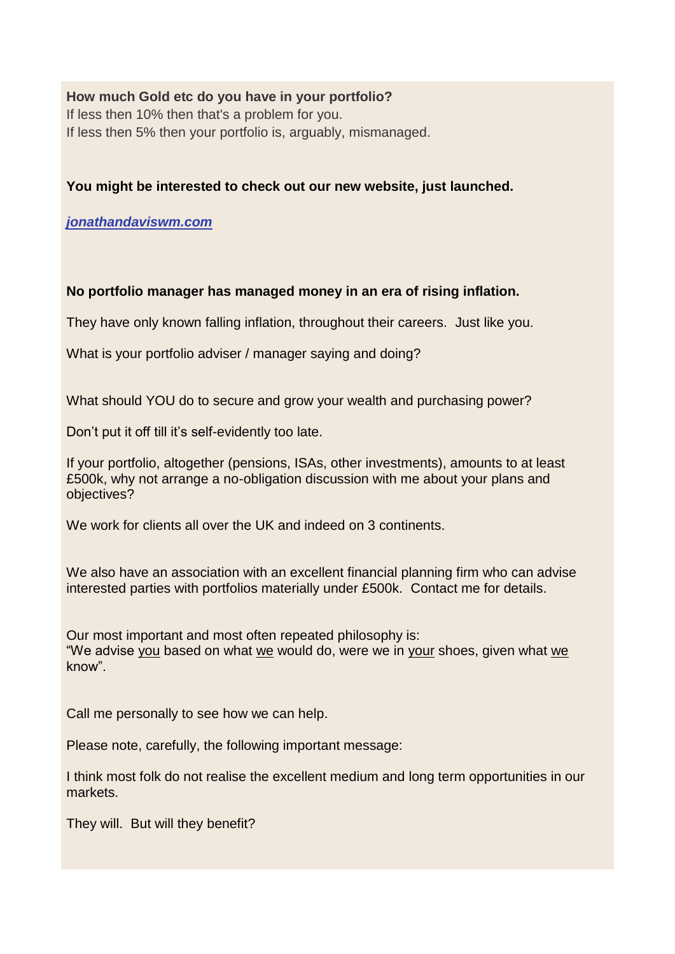**How much Gold etc do you have in your portfolio?** If less then 10% then that's a problem for you. If less then 5% then your portfolio is, arguably, mismanaged.

**You might be interested to check out our new website, just launched.**

*[jonathandaviswm.com](https://jonathandaviswealthmanagement.com/MW5-6E5XM-382O84-3OJQ5H-1/c.aspx)*

**No portfolio manager has managed money in an era of rising inflation.**

They have only known falling inflation, throughout their careers. Just like you.

What is your portfolio adviser / manager saying and doing?

What should YOU do to secure and grow your wealth and purchasing power?

Don't put it off till it's self-evidently too late.

If your portfolio, altogether (pensions, ISAs, other investments), amounts to at least £500k, why not arrange a no-obligation discussion with me about your plans and objectives?

We work for clients all over the UK and indeed on 3 continents.

We also have an association with an excellent financial planning firm who can advise interested parties with portfolios materially under £500k. Contact me for details.

Our most important and most often repeated philosophy is: "We advise you based on what we would do, were we in your shoes, given what we know".

Call me personally to see how we can help.

Please note, carefully, the following important message:

I think most folk do not realise the excellent medium and long term opportunities in our markets.

They will. But will they benefit?